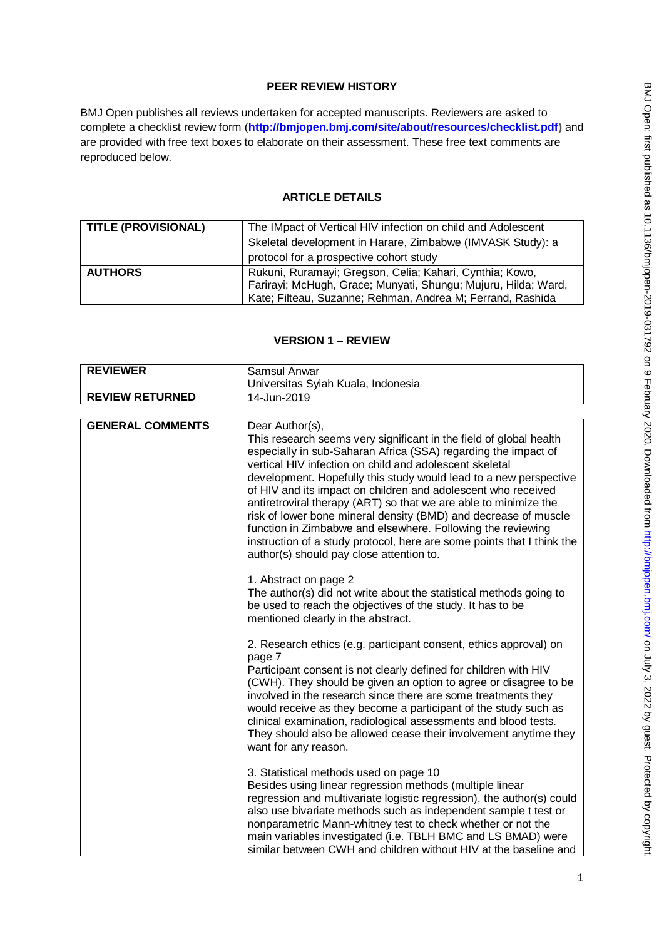# **PEER REVIEW HISTORY**

BMJ Open publishes all reviews undertaken for accepted manuscripts. Reviewers are asked to complete a checklist review form (**[http://bmjopen.bmj.com/site/about/resources/checklist.pdf\)](http://bmjopen.bmj.com/site/about/resources/checklist.pdf)** and are provided with free text boxes to elaborate on their assessment. These free text comments are reproduced below.

## **ARTICLE DETAILS**

| <b>TITLE (PROVISIONAL)</b> | The IMpact of Vertical HIV infection on child and Adolescent   |
|----------------------------|----------------------------------------------------------------|
|                            | Skeletal development in Harare, Zimbabwe (IMVASK Study): a     |
|                            | protocol for a prospective cohort study                        |
| <b>AUTHORS</b>             | Rukuni, Ruramayi; Gregson, Celia; Kahari, Cynthia; Kowo,       |
|                            | Farirayi; McHugh, Grace; Munyati, Shungu; Mujuru, Hilda; Ward, |
|                            | Kate; Filteau, Suzanne; Rehman, Andrea M; Ferrand, Rashida     |

# **VERSION 1 – REVIEW**

| <b>REVIEWER</b>         | Samsul Anwar                                                                                                                                                                                                                                                                                                                                                                                                                                                                                                                                                                                                                                                                         |
|-------------------------|--------------------------------------------------------------------------------------------------------------------------------------------------------------------------------------------------------------------------------------------------------------------------------------------------------------------------------------------------------------------------------------------------------------------------------------------------------------------------------------------------------------------------------------------------------------------------------------------------------------------------------------------------------------------------------------|
|                         | Universitas Syiah Kuala, Indonesia                                                                                                                                                                                                                                                                                                                                                                                                                                                                                                                                                                                                                                                   |
| <b>REVIEW RETURNED</b>  | 14-Jun-2019                                                                                                                                                                                                                                                                                                                                                                                                                                                                                                                                                                                                                                                                          |
|                         |                                                                                                                                                                                                                                                                                                                                                                                                                                                                                                                                                                                                                                                                                      |
| <b>GENERAL COMMENTS</b> | Dear Author(s),<br>This research seems very significant in the field of global health<br>especially in sub-Saharan Africa (SSA) regarding the impact of<br>vertical HIV infection on child and adolescent skeletal<br>development. Hopefully this study would lead to a new perspective<br>of HIV and its impact on children and adolescent who received<br>antiretroviral therapy (ART) so that we are able to minimize the<br>risk of lower bone mineral density (BMD) and decrease of muscle<br>function in Zimbabwe and elsewhere. Following the reviewing<br>instruction of a study protocol, here are some points that I think the<br>author(s) should pay close attention to. |
|                         | 1. Abstract on page 2<br>The author(s) did not write about the statistical methods going to<br>be used to reach the objectives of the study. It has to be<br>mentioned clearly in the abstract.                                                                                                                                                                                                                                                                                                                                                                                                                                                                                      |
|                         | 2. Research ethics (e.g. participant consent, ethics approval) on<br>page 7<br>Participant consent is not clearly defined for children with HIV<br>(CWH). They should be given an option to agree or disagree to be<br>involved in the research since there are some treatments they<br>would receive as they become a participant of the study such as<br>clinical examination, radiological assessments and blood tests.<br>They should also be allowed cease their involvement anytime they<br>want for any reason.                                                                                                                                                               |
|                         | 3. Statistical methods used on page 10<br>Besides using linear regression methods (multiple linear<br>regression and multivariate logistic regression), the author(s) could<br>also use bivariate methods such as independent sample t test or<br>nonparametric Mann-whitney test to check whether or not the<br>main variables investigated (i.e. TBLH BMC and LS BMAD) were<br>similar between CWH and children without HIV at the baseline and                                                                                                                                                                                                                                    |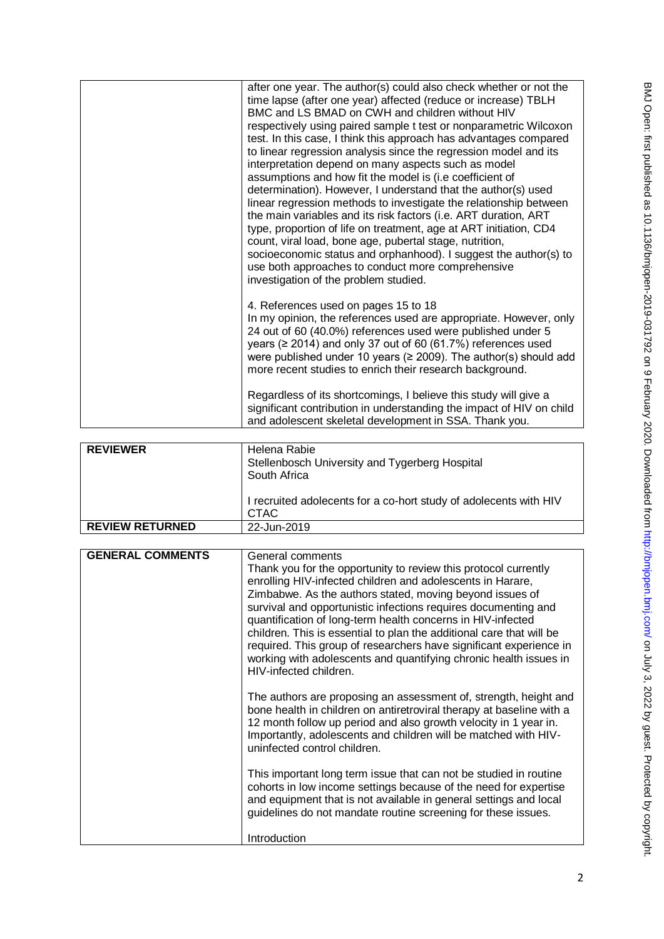| after one year. The author(s) could also check whether or not the<br>time lapse (after one year) affected (reduce or increase) TBLH<br>BMC and LS BMAD on CWH and children without HIV<br>respectively using paired sample t test or nonparametric Wilcoxon<br>test. In this case, I think this approach has advantages compared<br>to linear regression analysis since the regression model and its<br>interpretation depend on many aspects such as model<br>assumptions and how fit the model is (i.e coefficient of<br>determination). However, I understand that the author(s) used<br>linear regression methods to investigate the relationship between<br>the main variables and its risk factors (i.e. ART duration, ART<br>type, proportion of life on treatment, age at ART initiation, CD4<br>count, viral load, bone age, pubertal stage, nutrition,<br>socioeconomic status and orphanhood). I suggest the author(s) to<br>use both approaches to conduct more comprehensive<br>investigation of the problem studied. |  |
|------------------------------------------------------------------------------------------------------------------------------------------------------------------------------------------------------------------------------------------------------------------------------------------------------------------------------------------------------------------------------------------------------------------------------------------------------------------------------------------------------------------------------------------------------------------------------------------------------------------------------------------------------------------------------------------------------------------------------------------------------------------------------------------------------------------------------------------------------------------------------------------------------------------------------------------------------------------------------------------------------------------------------------|--|
| 4. References used on pages 15 to 18<br>In my opinion, the references used are appropriate. However, only<br>24 out of 60 (40.0%) references used were published under 5<br>years ( $\geq$ 2014) and only 37 out of 60 (61.7%) references used<br>were published under 10 years ( $\geq$ 2009). The author(s) should add<br>more recent studies to enrich their research background.<br>Regardless of its shortcomings, I believe this study will give a<br>significant contribution in understanding the impact of HIV on child                                                                                                                                                                                                                                                                                                                                                                                                                                                                                                   |  |
| and adolescent skeletal development in SSA. Thank you.                                                                                                                                                                                                                                                                                                                                                                                                                                                                                                                                                                                                                                                                                                                                                                                                                                                                                                                                                                             |  |

| <b>REVIEWER</b>        | Helena Rabie<br>Stellenbosch University and Tygerberg Hospital<br>South Africa<br>I recruited adolecents for a co-hort study of adolecents with HIV<br><b>CTAC</b> |
|------------------------|--------------------------------------------------------------------------------------------------------------------------------------------------------------------|
| <b>REVIEW RETURNED</b> | 22-Jun-2019                                                                                                                                                        |

| <b>GENERAL COMMENTS</b> | General comments                                                                                                                                                                                                                                                                                                                                                                                                                                                                                                                                                        |
|-------------------------|-------------------------------------------------------------------------------------------------------------------------------------------------------------------------------------------------------------------------------------------------------------------------------------------------------------------------------------------------------------------------------------------------------------------------------------------------------------------------------------------------------------------------------------------------------------------------|
|                         | Thank you for the opportunity to review this protocol currently<br>enrolling HIV-infected children and adolescents in Harare,<br>Zimbabwe. As the authors stated, moving beyond issues of<br>survival and opportunistic infections requires documenting and<br>quantification of long-term health concerns in HIV-infected<br>children. This is essential to plan the additional care that will be<br>required. This group of researchers have significant experience in<br>working with adolescents and quantifying chronic health issues in<br>HIV-infected children. |
|                         | The authors are proposing an assessment of, strength, height and<br>bone health in children on antiretroviral therapy at baseline with a<br>12 month follow up period and also growth velocity in 1 year in.<br>Importantly, adolescents and children will be matched with HIV-<br>uninfected control children.                                                                                                                                                                                                                                                         |
|                         | This important long term issue that can not be studied in routine<br>cohorts in low income settings because of the need for expertise<br>and equipment that is not available in general settings and local<br>guidelines do not mandate routine screening for these issues.                                                                                                                                                                                                                                                                                             |
|                         | Introduction                                                                                                                                                                                                                                                                                                                                                                                                                                                                                                                                                            |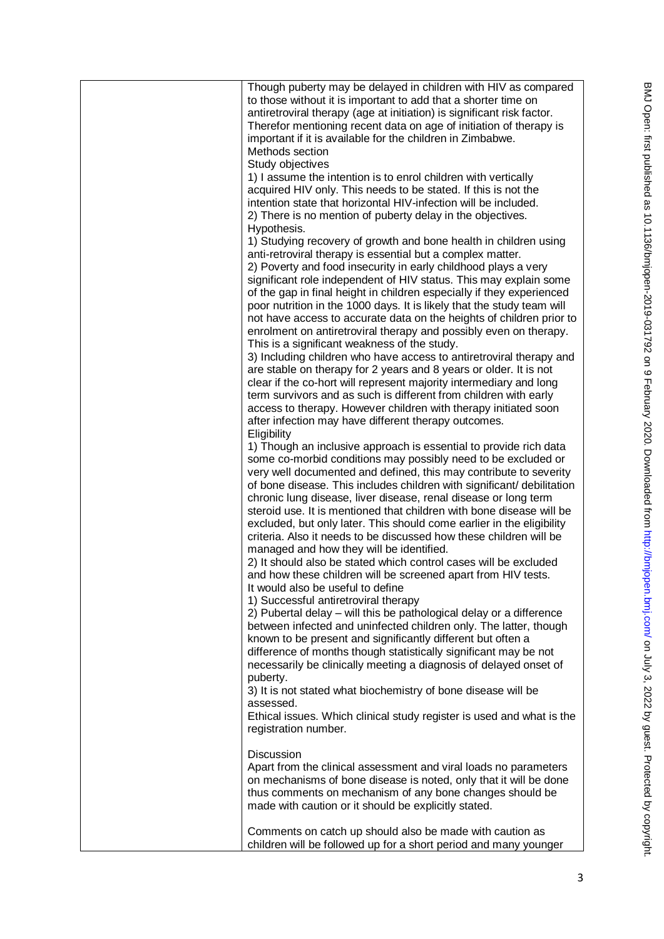| Though puberty may be delayed in children with HIV as compared<br>to those without it is important to add that a shorter time on<br>antiretroviral therapy (age at initiation) is significant risk factor.<br>Therefor mentioning recent data on age of initiation of therapy is<br>important if it is available for the children in Zimbabwe.<br>Methods section<br>Study objectives<br>1) I assume the intention is to enrol children with vertically<br>acquired HIV only. This needs to be stated. If this is not the<br>intention state that horizontal HIV-infection will be included.<br>2) There is no mention of puberty delay in the objectives.<br>Hypothesis.<br>1) Studying recovery of growth and bone health in children using<br>anti-retroviral therapy is essential but a complex matter.<br>2) Poverty and food insecurity in early childhood plays a very<br>significant role independent of HIV status. This may explain some<br>of the gap in final height in children especially if they experienced<br>poor nutrition in the 1000 days. It is likely that the study team will<br>not have access to accurate data on the heights of children prior to<br>enrolment on antiretroviral therapy and possibly even on therapy.<br>This is a significant weakness of the study.<br>3) Including children who have access to antiretroviral therapy and<br>are stable on therapy for 2 years and 8 years or older. It is not<br>clear if the co-hort will represent majority intermediary and long<br>term survivors and as such is different from children with early<br>access to therapy. However children with therapy initiated soon<br>after infection may have different therapy outcomes.<br>Eligibility<br>1) Though an inclusive approach is essential to provide rich data<br>some co-morbid conditions may possibly need to be excluded or<br>very well documented and defined, this may contribute to severity<br>of bone disease. This includes children with significant/ debilitation<br>chronic lung disease, liver disease, renal disease or long term<br>steroid use. It is mentioned that children with bone disease will be<br>excluded, but only later. This should come earlier in the eligibility<br>criteria. Also it needs to be discussed how these children will be<br>managed and how they will be identified.<br>2) It should also be stated which control cases will be excluded<br>and how these children will be screened apart from HIV tests.<br>It would also be useful to define<br>1) Successful antiretroviral therapy |
|---------------------------------------------------------------------------------------------------------------------------------------------------------------------------------------------------------------------------------------------------------------------------------------------------------------------------------------------------------------------------------------------------------------------------------------------------------------------------------------------------------------------------------------------------------------------------------------------------------------------------------------------------------------------------------------------------------------------------------------------------------------------------------------------------------------------------------------------------------------------------------------------------------------------------------------------------------------------------------------------------------------------------------------------------------------------------------------------------------------------------------------------------------------------------------------------------------------------------------------------------------------------------------------------------------------------------------------------------------------------------------------------------------------------------------------------------------------------------------------------------------------------------------------------------------------------------------------------------------------------------------------------------------------------------------------------------------------------------------------------------------------------------------------------------------------------------------------------------------------------------------------------------------------------------------------------------------------------------------------------------------------------------------------------------------------------------------------------------------------------------------------------------------------------------------------------------------------------------------------------------------------------------------------------------------------------------------------------------------------------------------------------------------------------------------------------------------------------------------------------------------------------------------------------------------------------------------|
| 2) Pubertal delay - will this be pathological delay or a difference<br>between infected and uninfected children only. The latter, though<br>known to be present and significantly different but often a<br>difference of months though statistically significant may be not<br>necessarily be clinically meeting a diagnosis of delayed onset of<br>puberty.                                                                                                                                                                                                                                                                                                                                                                                                                                                                                                                                                                                                                                                                                                                                                                                                                                                                                                                                                                                                                                                                                                                                                                                                                                                                                                                                                                                                                                                                                                                                                                                                                                                                                                                                                                                                                                                                                                                                                                                                                                                                                                                                                                                                                    |
| 3) It is not stated what biochemistry of bone disease will be<br>assessed.<br>Ethical issues. Which clinical study register is used and what is the<br>registration number.<br><b>Discussion</b><br>Apart from the clinical assessment and viral loads no parameters<br>on mechanisms of bone disease is noted, only that it will be done                                                                                                                                                                                                                                                                                                                                                                                                                                                                                                                                                                                                                                                                                                                                                                                                                                                                                                                                                                                                                                                                                                                                                                                                                                                                                                                                                                                                                                                                                                                                                                                                                                                                                                                                                                                                                                                                                                                                                                                                                                                                                                                                                                                                                                       |
| thus comments on mechanism of any bone changes should be<br>made with caution or it should be explicitly stated.<br>Comments on catch up should also be made with caution as<br>children will be followed up for a short period and many younger                                                                                                                                                                                                                                                                                                                                                                                                                                                                                                                                                                                                                                                                                                                                                                                                                                                                                                                                                                                                                                                                                                                                                                                                                                                                                                                                                                                                                                                                                                                                                                                                                                                                                                                                                                                                                                                                                                                                                                                                                                                                                                                                                                                                                                                                                                                                |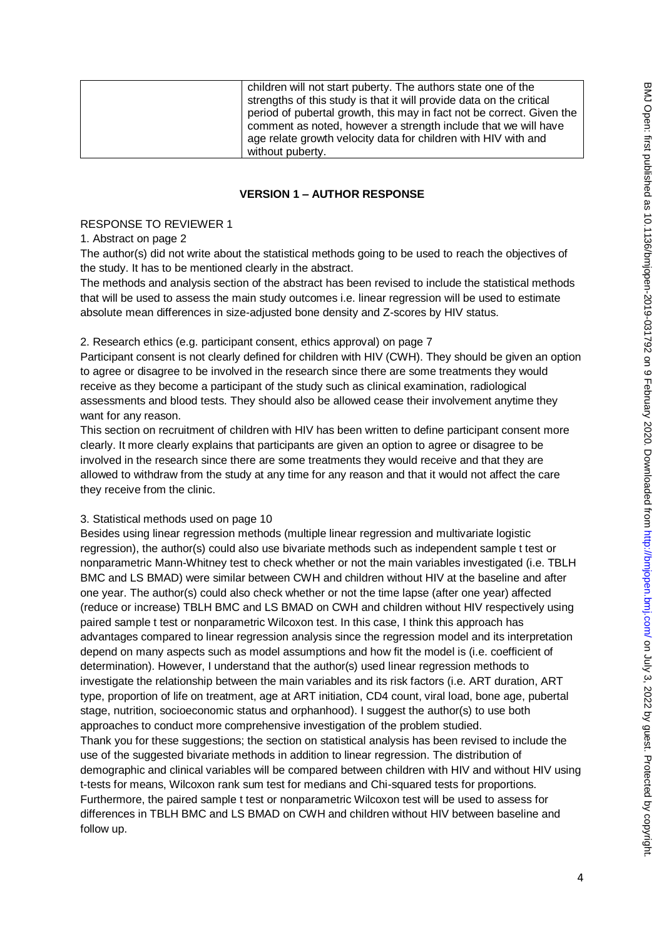| children will not start puberty. The authors state one of the         |
|-----------------------------------------------------------------------|
| strengths of this study is that it will provide data on the critical  |
| period of pubertal growth, this may in fact not be correct. Given the |
| comment as noted, however a strength include that we will have        |
| age relate growth velocity data for children with HIV with and        |
| without puberty.                                                      |

### **VERSION 1 – AUTHOR RESPONSE**

#### RESPONSE TO REVIEWER 1

### 1. Abstract on page 2

The author(s) did not write about the statistical methods going to be used to reach the objectives of the study. It has to be mentioned clearly in the abstract.

The methods and analysis section of the abstract has been revised to include the statistical methods that will be used to assess the main study outcomes i.e. linear regression will be used to estimate absolute mean differences in size-adjusted bone density and Z-scores by HIV status.

### 2. Research ethics (e.g. participant consent, ethics approval) on page 7

Participant consent is not clearly defined for children with HIV (CWH). They should be given an option to agree or disagree to be involved in the research since there are some treatments they would receive as they become a participant of the study such as clinical examination, radiological assessments and blood tests. They should also be allowed cease their involvement anytime they want for any reason.

This section on recruitment of children with HIV has been written to define participant consent more clearly. It more clearly explains that participants are given an option to agree or disagree to be involved in the research since there are some treatments they would receive and that they are allowed to withdraw from the study at any time for any reason and that it would not affect the care they receive from the clinic.

#### 3. Statistical methods used on page 10

Besides using linear regression methods (multiple linear regression and multivariate logistic regression), the author(s) could also use bivariate methods such as independent sample t test or nonparametric Mann-Whitney test to check whether or not the main variables investigated (i.e. TBLH BMC and LS BMAD) were similar between CWH and children without HIV at the baseline and after one year. The author(s) could also check whether or not the time lapse (after one year) affected (reduce or increase) TBLH BMC and LS BMAD on CWH and children without HIV respectively using paired sample t test or nonparametric Wilcoxon test. In this case, I think this approach has advantages compared to linear regression analysis since the regression model and its interpretation depend on many aspects such as model assumptions and how fit the model is (i.e. coefficient of determination). However, I understand that the author(s) used linear regression methods to investigate the relationship between the main variables and its risk factors (i.e. ART duration, ART type, proportion of life on treatment, age at ART initiation, CD4 count, viral load, bone age, pubertal stage, nutrition, socioeconomic status and orphanhood). I suggest the author(s) to use both approaches to conduct more comprehensive investigation of the problem studied. Thank you for these suggestions; the section on statistical analysis has been revised to include the use of the suggested bivariate methods in addition to linear regression. The distribution of demographic and clinical variables will be compared between children with HIV and without HIV using t-tests for means, Wilcoxon rank sum test for medians and Chi-squared tests for proportions. Furthermore, the paired sample t test or nonparametric Wilcoxon test will be used to assess for differences in TBLH BMC and LS BMAD on CWH and children without HIV between baseline and follow up.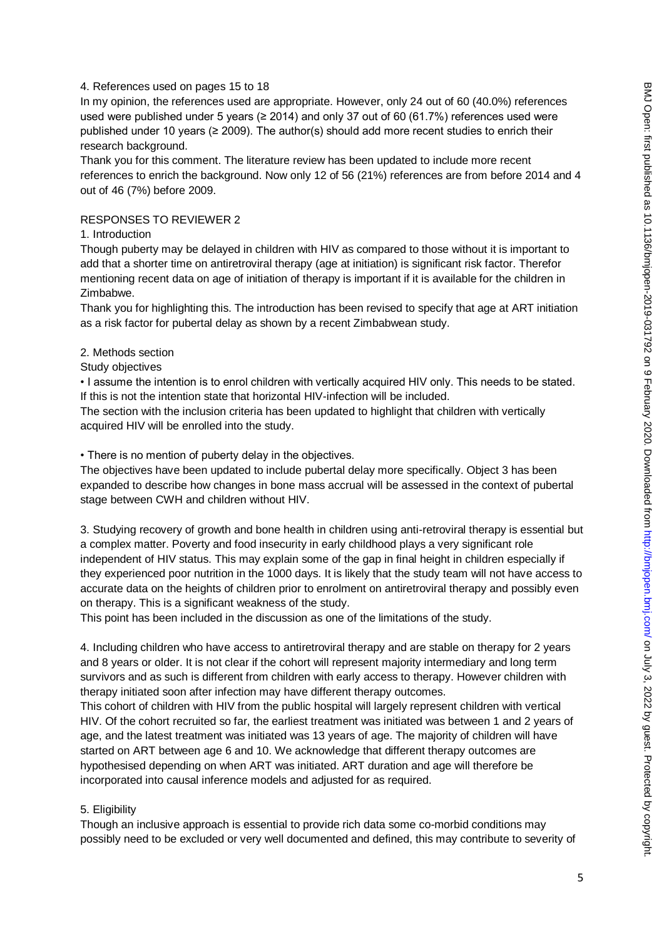### 4. References used on pages 15 to 18

In my opinion, the references used are appropriate. However, only 24 out of 60 (40.0%) references used were published under 5 years ( $\geq 2014$ ) and only 37 out of 60 (61.7%) references used were published under 10 years ( $\geq$  2009). The author(s) should add more recent studies to enrich their research background.

Thank you for this comment. The literature review has been updated to include more recent references to enrich the background. Now only 12 of 56 (21%) references are from before 2014 and 4 out of 46 (7%) before 2009.

### RESPONSES TO REVIEWER 2

#### 1. Introduction

Though puberty may be delayed in children with HIV as compared to those without it is important to add that a shorter time on antiretroviral therapy (age at initiation) is significant risk factor. Therefor mentioning recent data on age of initiation of therapy is important if it is available for the children in Zimbabwe.

Thank you for highlighting this. The introduction has been revised to specify that age at ART initiation as a risk factor for pubertal delay as shown by a recent Zimbabwean study.

#### 2. Methods section

Study objectives

• I assume the intention is to enrol children with vertically acquired HIV only. This needs to be stated. If this is not the intention state that horizontal HIV-infection will be included.

The section with the inclusion criteria has been updated to highlight that children with vertically acquired HIV will be enrolled into the study.

• There is no mention of puberty delay in the objectives.

The objectives have been updated to include pubertal delay more specifically. Object 3 has been expanded to describe how changes in bone mass accrual will be assessed in the context of pubertal stage between CWH and children without HIV.

3. Studying recovery of growth and bone health in children using anti-retroviral therapy is essential but a complex matter. Poverty and food insecurity in early childhood plays a very significant role independent of HIV status. This may explain some of the gap in final height in children especially if they experienced poor nutrition in the 1000 days. It is likely that the study team will not have access to accurate data on the heights of children prior to enrolment on antiretroviral therapy and possibly even on therapy. This is a significant weakness of the study.

This point has been included in the discussion as one of the limitations of the study.

4. Including children who have access to antiretroviral therapy and are stable on therapy for 2 years and 8 years or older. It is not clear if the cohort will represent majority intermediary and long term survivors and as such is different from children with early access to therapy. However children with therapy initiated soon after infection may have different therapy outcomes.

This cohort of children with HIV from the public hospital will largely represent children with vertical HIV. Of the cohort recruited so far, the earliest treatment was initiated was between 1 and 2 years of age, and the latest treatment was initiated was 13 years of age. The majority of children will have started on ART between age 6 and 10. We acknowledge that different therapy outcomes are hypothesised depending on when ART was initiated. ART duration and age will therefore be incorporated into causal inference models and adjusted for as required.

### 5. Eligibility

Though an inclusive approach is essential to provide rich data some co-morbid conditions may possibly need to be excluded or very well documented and defined, this may contribute to severity of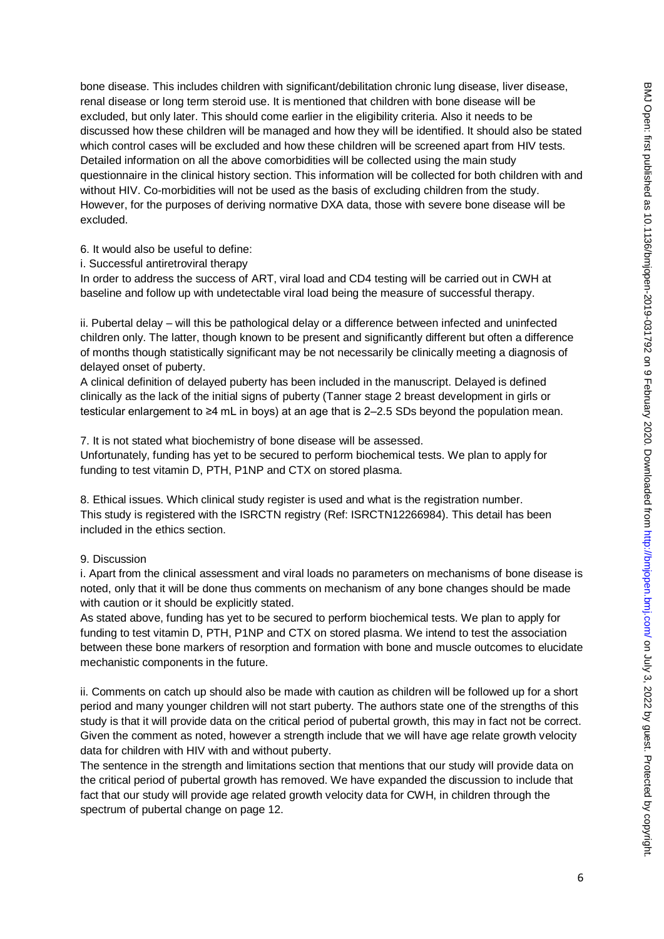bone disease. This includes children with significant/debilitation chronic lung disease, liver disease, renal disease or long term steroid use. It is mentioned that children with bone disease will be excluded, but only later. This should come earlier in the eligibility criteria. Also it needs to be discussed how these children will be managed and how they will be identified. It should also be stated which control cases will be excluded and how these children will be screened apart from HIV tests. Detailed information on all the above comorbidities will be collected using the main study questionnaire in the clinical history section. This information will be collected for both children with and without HIV. Co-morbidities will not be used as the basis of excluding children from the study. However, for the purposes of deriving normative DXA data, those with severe bone disease will be 6. It would also be useful to define: i. Successful antiretroviral therapy

In order to address the success of ART, viral load and CD4 testing will be carried out in CWH at baseline and follow up with undetectable viral load being the measure of successful therapy.

ii. Pubertal delay – will this be pathological delay or a difference between infected and uninfected children only. The latter, though known to be present and significantly different but often a difference of months though statistically significant may be not necessarily be clinically meeting a diagnosis of delayed onset of puberty.

A clinical definition of delayed puberty has been included in the manuscript. Delayed is defined clinically as the lack of the initial signs of puberty (Tanner stage 2 breast development in girls or testicular enlargement to ≥4 mL in boys) at an age that is 2–2.5 SDs beyond the population mean.

7. It is not stated what biochemistry of bone disease will be assessed. Unfortunately, funding has yet to be secured to perform biochemical tests. We plan to apply for funding to test vitamin D, PTH, P1NP and CTX on stored plasma.

8. Ethical issues. Which clinical study register is used and what is the registration number. This study is registered with the ISRCTN registry (Ref: ISRCTN12266984). This detail has been included in the ethics section.

# 9. Discussion

excluded.

i. Apart from the clinical assessment and viral loads no parameters on mechanisms of bone disease is noted, only that it will be done thus comments on mechanism of any bone changes should be made with caution or it should be explicitly stated.

As stated above, funding has yet to be secured to perform biochemical tests. We plan to apply for funding to test vitamin D, PTH, P1NP and CTX on stored plasma. We intend to test the association between these bone markers of resorption and formation with bone and muscle outcomes to elucidate mechanistic components in the future.

ii. Comments on catch up should also be made with caution as children will be followed up for a short period and many younger children will not start puberty. The authors state one of the strengths of this study is that it will provide data on the critical period of pubertal growth, this may in fact not be correct. Given the comment as noted, however a strength include that we will have age relate growth velocity data for children with HIV with and without puberty.

The sentence in the strength and limitations section that mentions that our study will provide data on the critical period of pubertal growth has removed. We have expanded the discussion to include that fact that our study will provide age related growth velocity data for CWH, in children through the spectrum of pubertal change on page 12.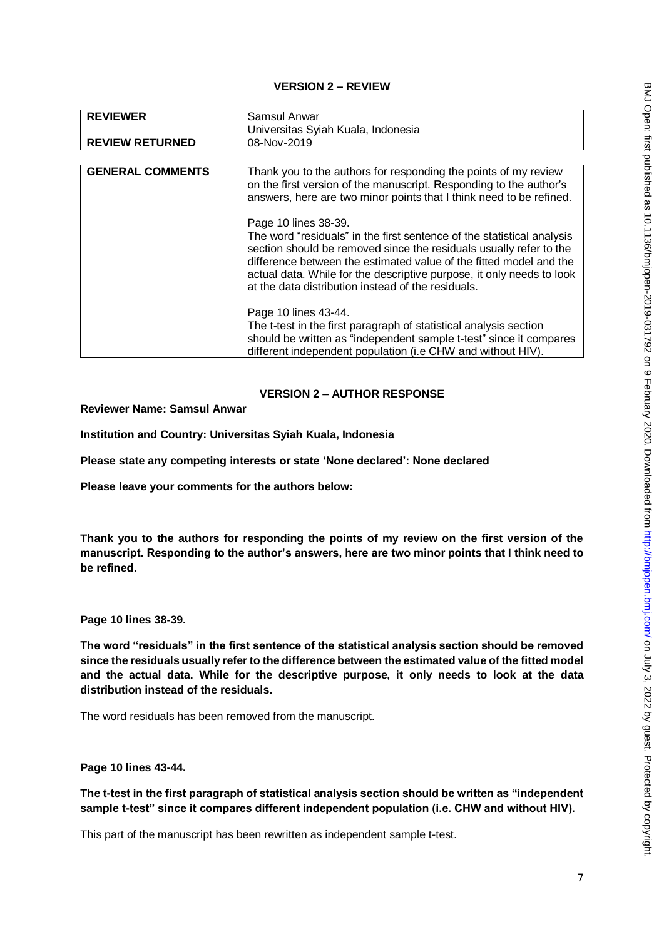# **VERSION 2 – REVIEW**

| <b>REVIEWER</b>         | Samsul Anwar                                                                                                                                                                                                                                                                                                                                                                                                                                                                                                                                                                                                                                                                                                                                                                                                                |
|-------------------------|-----------------------------------------------------------------------------------------------------------------------------------------------------------------------------------------------------------------------------------------------------------------------------------------------------------------------------------------------------------------------------------------------------------------------------------------------------------------------------------------------------------------------------------------------------------------------------------------------------------------------------------------------------------------------------------------------------------------------------------------------------------------------------------------------------------------------------|
|                         | Universitas Syiah Kuala, Indonesia                                                                                                                                                                                                                                                                                                                                                                                                                                                                                                                                                                                                                                                                                                                                                                                          |
| <b>REVIEW RETURNED</b>  | 08-Nov-2019                                                                                                                                                                                                                                                                                                                                                                                                                                                                                                                                                                                                                                                                                                                                                                                                                 |
|                         |                                                                                                                                                                                                                                                                                                                                                                                                                                                                                                                                                                                                                                                                                                                                                                                                                             |
| <b>GENERAL COMMENTS</b> | Thank you to the authors for responding the points of my review<br>on the first version of the manuscript. Responding to the author's<br>answers, here are two minor points that I think need to be refined.<br>Page 10 lines 38-39.<br>The word "residuals" in the first sentence of the statistical analysis<br>section should be removed since the residuals usually refer to the<br>difference between the estimated value of the fitted model and the<br>actual data. While for the descriptive purpose, it only needs to look<br>at the data distribution instead of the residuals.<br>Page 10 lines 43-44.<br>The t-test in the first paragraph of statistical analysis section<br>should be written as "independent sample t-test" since it compares<br>different independent population (i.e CHW and without HIV). |

# **VERSION 2 – AUTHOR RESPONSE**

**Reviewer Name: Samsul Anwar**

**Institution and Country: Universitas Syiah Kuala, Indonesia**

**Please state any competing interests or state 'None declared': None declared**

**Please leave your comments for the authors below:**

**Thank you to the authors for responding the points of my review on the first version of the manuscript. Responding to the author's answers, here are two minor points that I think need to be refined.** 

**Page 10 lines 38-39.** 

**The word "residuals" in the first sentence of the statistical analysis section should be removed since the residuals usually refer to the difference between the estimated value of the fitted model and the actual data. While for the descriptive purpose, it only needs to look at the data distribution instead of the residuals.** 

The word residuals has been removed from the manuscript.

**Page 10 lines 43-44.** 

**The t-test in the first paragraph of statistical analysis section should be written as "independent sample t-test" since it compares different independent population (i.e. CHW and without HIV).**

This part of the manuscript has been rewritten as independent sample t-test.